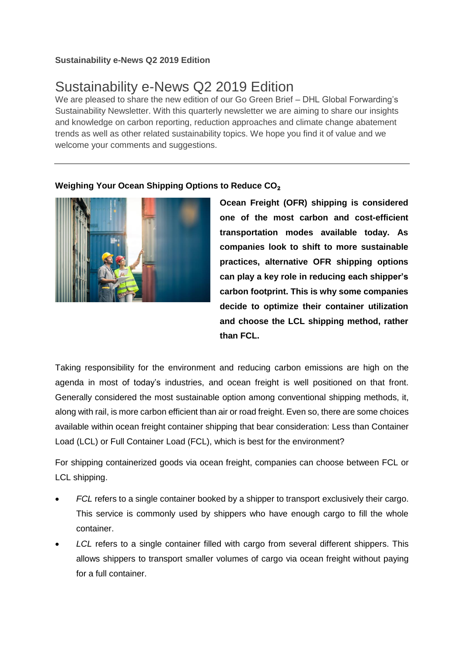## **Sustainability e-News Q2 2019 Edition**

# Sustainability e-News Q2 2019 Edition

We are pleased to share the new edition of our Go Green Brief – DHL Global Forwarding's Sustainability Newsletter. With this quarterly newsletter we are aiming to share our insights and knowledge on carbon reporting, reduction approaches and climate change abatement trends as well as other related sustainability topics. We hope you find it of value and we welcome your comments and suggestions.

### **Weighing Your Ocean Shipping Options to Reduce CO**₂



**Ocean Freight (OFR) shipping is considered one of the most carbon and cost-efficient transportation modes available today. As companies look to shift to more sustainable practices, alternative OFR shipping options can play a key role in reducing each shipper's carbon footprint. This is why some companies decide to optimize their container utilization and choose the LCL shipping method, rather than FCL.** 

Taking responsibility for the environment and reducing carbon emissions are high on the agenda in most of today's industries, and ocean freight is well positioned on that front. Generally considered the most sustainable option among conventional shipping methods, it, along with rail, is more carbon efficient than air or road freight. Even so, there are some choices available within ocean freight container shipping that bear consideration: Less than Container Load (LCL) or Full Container Load (FCL), which is best for the environment?

For shipping containerized goods via ocean freight, companies can choose between FCL or LCL shipping.

- *FCL* refers to a single container booked by a shipper to transport exclusively their cargo. This service is commonly used by shippers who have enough cargo to fill the whole container.
- *LCL* refers to a single container filled with cargo from several different shippers. This allows shippers to transport smaller volumes of cargo via ocean freight without paying for a full container.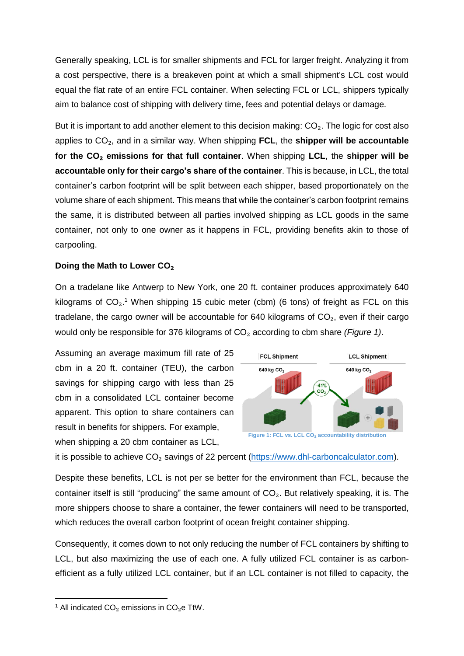Generally speaking, LCL is for smaller shipments and FCL for larger freight. Analyzing it from a cost perspective, there is a breakeven point at which a small shipment's LCL cost would equal the flat rate of an entire FCL container. When selecting FCL or LCL, shippers typically aim to balance cost of shipping with delivery time, fees and potential delays or damage.

But it is important to add another element to this decision making:  $CO<sub>2</sub>$ . The logic for cost also applies to CO₂, and in a similar way. When shipping **FCL**, the **shipper will be accountable for the CO**₂ **emissions for that full container**. When shipping **LCL**, the **shipper will be accountable only for their cargo's share of the container**. This is because, in LCL, the total container's carbon footprint will be split between each shipper, based proportionately on the volume share of each shipment. This means that while the container's carbon footprint remains the same, it is distributed between all parties involved shipping as LCL goods in the same container, not only to one owner as it happens in FCL, providing benefits akin to those of carpooling.

#### **Doing the Math to Lower CO**₂

On a tradelane like Antwerp to New York, one 20 ft. container produces approximately 640 kilograms of  $CO_2$ <sup>1</sup> When shipping 15 cubic meter (cbm) (6 tons) of freight as FCL on this tradelane, the cargo owner will be accountable for 640 kilograms of  $CO<sub>2</sub>$ , even if their cargo would only be responsible for 376 kilograms of CO₂ according to cbm share *(Figure 1)*.

Assuming an average maximum fill rate of 25 cbm in a 20 ft. container (TEU), the carbon savings for shipping cargo with less than 25 cbm in a consolidated LCL container become apparent. This option to share containers can result in benefits for shippers. For example, when shipping a 20 cbm container as LCL,



it is possible to achieve CO<sub>2</sub> savings of 22 percent [\(https://www.dhl-carboncalculator.com\)](https://www.dhl-carboncalculator.com/).

Despite these benefits, LCL is not per se better for the environment than FCL, because the container itself is still "producing" the same amount of CO<sub>2</sub>. But relatively speaking, it is. The more shippers choose to share a container, the fewer containers will need to be transported, which reduces the overall carbon footprint of ocean freight container shipping.

Consequently, it comes down to not only reducing the number of FCL containers by shifting to LCL, but also maximizing the use of each one. A fully utilized FCL container is as carbonefficient as a fully utilized LCL container, but if an LCL container is not filled to capacity, the

**.** 

<sup>&</sup>lt;sup>1</sup> All indicated  $CO<sub>2</sub>$  emissions in  $CO<sub>2</sub>e$  TtW.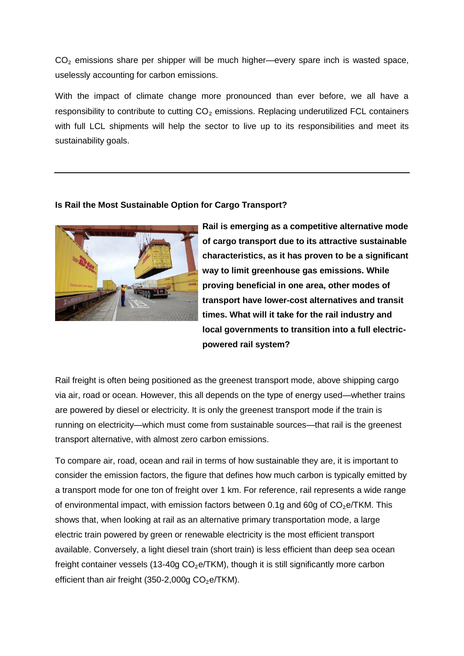$CO<sub>2</sub>$  emissions share per shipper will be much higher—every spare inch is wasted space, uselessly accounting for carbon emissions.

With the impact of climate change more pronounced than ever before, we all have a responsibility to contribute to cutting  $CO<sub>2</sub>$  emissions. Replacing underutilized FCL containers with full LCL shipments will help the sector to live up to its responsibilities and meet its sustainability goals.

#### **Is Rail the Most Sustainable Option for Cargo Transport?**



**Rail is emerging as a competitive alternative mode of cargo transport due to its attractive sustainable characteristics, as it has proven to be a significant way to limit greenhouse gas emissions. While proving beneficial in one area, other modes of transport have lower-cost alternatives and transit times. What will it take for the rail industry and local governments to transition into a full electricpowered rail system?**

Rail freight is often being positioned as the greenest transport mode, above shipping cargo via air, road or ocean. However, this all depends on the type of energy used—whether trains are powered by diesel or electricity. It is only the greenest transport mode if the train is running on electricity—which must come from sustainable sources—that rail is the greenest transport alternative, with almost zero carbon emissions.

To compare air, road, ocean and rail in terms of how sustainable they are, it is important to consider the emission factors, the figure that defines how much carbon is typically emitted by a transport mode for one ton of freight over 1 km. For reference, rail represents a wide range of environmental impact, with emission factors between 0.1g and 60g of  $CO<sub>2</sub>e/TKM$ . This shows that, when looking at rail as an alternative primary transportation mode, a large electric train powered by green or renewable electricity is the most efficient transport available. Conversely, a light diesel train (short train) is less efficient than deep sea ocean freight container vessels (13-40g  $CO<sub>2</sub>e/TKM$ ), though it is still significantly more carbon efficient than air freight  $(350-2.000)$  CO<sub>2</sub>e/TKM).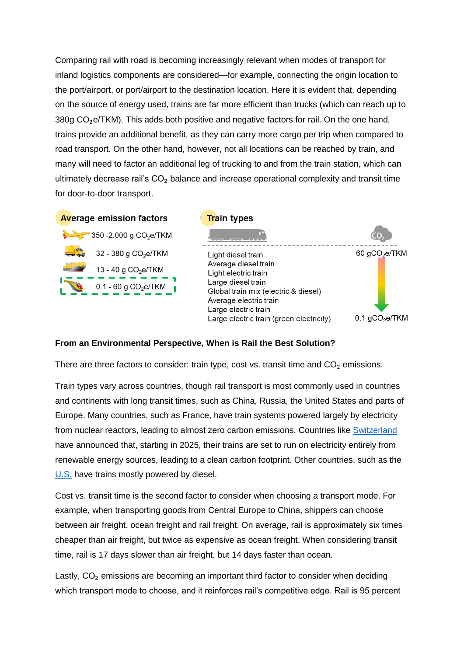Comparing rail with road is becoming increasingly relevant when modes of transport for inland logistics components are considered—for example, connecting the origin location to the port/airport, or port/airport to the destination location. Here it is evident that, depending on the source of energy used, trains are far more efficient than trucks (which can reach up to 380g  $CO<sub>2</sub>e/TKM$ ). This adds both positive and negative factors for rail. On the one hand, trains provide an additional benefit, as they can carry more cargo per trip when compared to road transport. On the other hand, however, not all locations can be reached by train, and many will need to factor an additional leg of trucking to and from the train station, which can ultimately decrease rail's  $CO<sub>2</sub>$  balance and increase operational complexity and transit time for door-to-door transport.







## **From an Environmental Perspective, When is Rail the Best Solution?**

There are three factors to consider: train type, cost vs. transit time and  $CO<sub>2</sub>$  emissions.

Train types vary across countries, though rail transport is most commonly used in countries and continents with long transit times, such as China, Russia, the United States and parts of Europe. Many countries, such as France, have train systems powered largely by electricity from nuclear reactors, leading to almost zero carbon emissions. Countries like [Switzerland](https://company.sbb.ch/en/sbb-as-business-partner/services-rus/energy/energiesparen.html) have announced that, starting in 2025, their trains are set to run on electricity entirely from renewable energy sources, leading to a clean carbon footprint. Other countries, such as the [U.S.](https://www.dieselforum.org/about-clean-diesel/rail) have trains mostly powered by diesel.

Cost vs. transit time is the second factor to consider when choosing a transport mode. For example, when transporting goods from Central Europe to China, shippers can choose between air freight, ocean freight and rail freight. On average, rail is approximately six times cheaper than air freight, but twice as expensive as ocean freight. When considering transit time, rail is 17 days slower than air freight, but 14 days faster than ocean.

Lastly,  $CO<sub>2</sub>$  emissions are becoming an important third factor to consider when deciding which transport mode to choose, and it reinforces rail's competitive edge. Rail is 95 percent